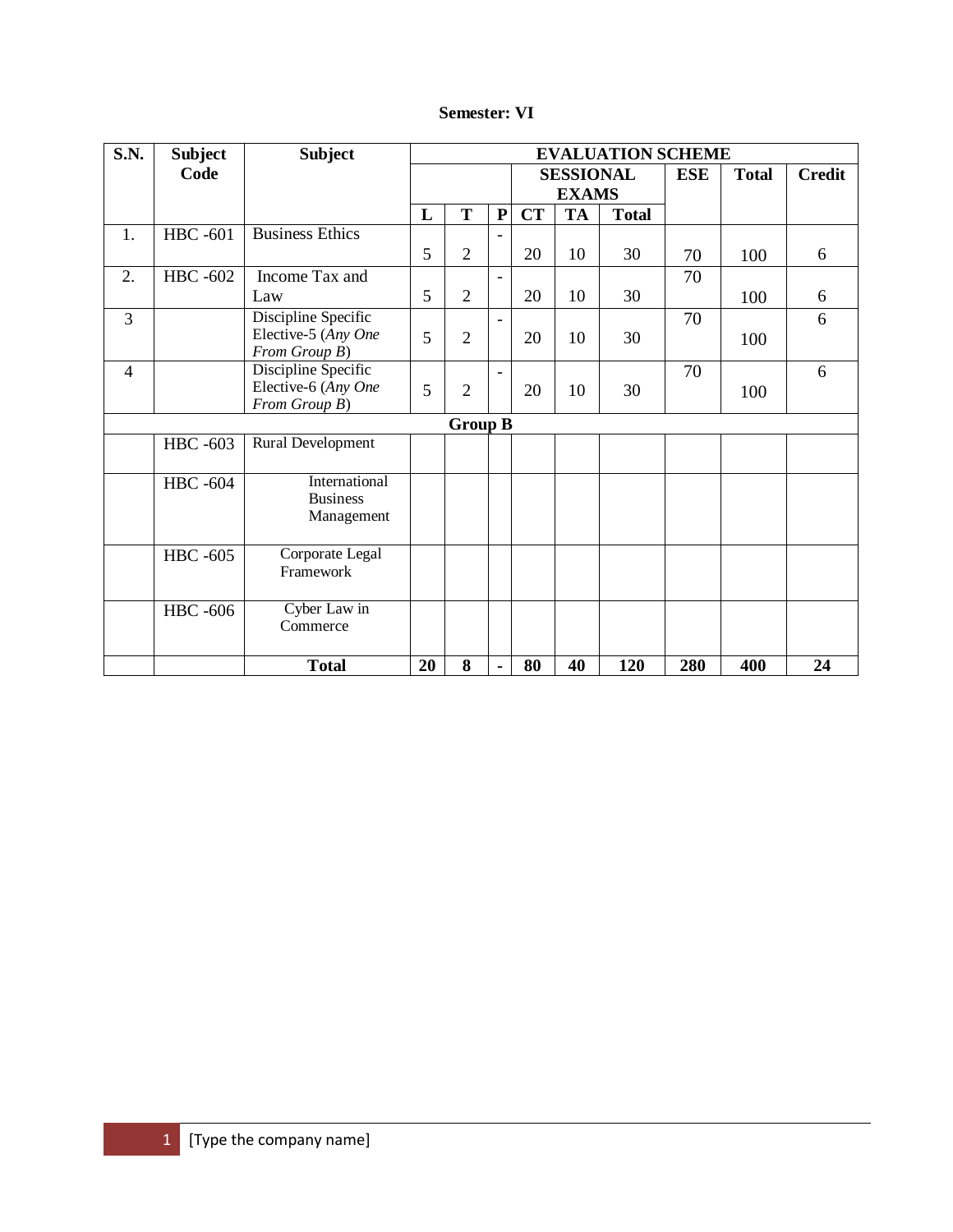| <b>Semester: VI</b> |
|---------------------|
|---------------------|

| <b>S.N.</b>    | <b>Subject</b>  | <b>Subject</b>                             | <b>EVALUATION SCHEME</b> |                |                              |           |            |              |               |     |    |
|----------------|-----------------|--------------------------------------------|--------------------------|----------------|------------------------------|-----------|------------|--------------|---------------|-----|----|
|                | Code            |                                            |                          |                | <b>SESSIONAL</b>             |           | <b>ESE</b> | <b>Total</b> | <b>Credit</b> |     |    |
|                |                 |                                            |                          |                | <b>EXAMS</b>                 |           |            |              |               |     |    |
|                |                 |                                            | L                        | T              | $\mathbf{P}$                 | <b>CT</b> | <b>TA</b>  | <b>Total</b> |               |     |    |
| 1.             | <b>HBC</b> -601 | <b>Business Ethics</b>                     |                          |                |                              |           |            |              |               |     |    |
|                |                 |                                            | 5                        | $\overline{2}$ |                              | 20        | 10         | 30           | 70            | 100 | 6  |
| 2.             | <b>HBC</b> -602 | Income Tax and                             |                          |                | $\overline{\phantom{0}}$     |           |            |              | 70            |     |    |
|                |                 | Law                                        | 5                        | $\overline{2}$ |                              | 20        | 10         | 30           |               | 100 | 6  |
| 3              |                 | Discipline Specific                        |                          |                |                              |           |            |              | 70            |     | 6  |
|                |                 | Elective-5 (Any One                        | 5                        | $\overline{2}$ |                              | 20        | 10         | 30           |               | 100 |    |
|                |                 | From Group B)                              |                          |                |                              |           |            |              |               |     |    |
| $\overline{4}$ |                 | Discipline Specific<br>Elective-6 (Any One |                          |                | $\qquad \qquad \blacksquare$ |           |            |              | 70            |     | 6  |
|                |                 | From Group B)                              | 5                        | $\overline{2}$ |                              | 20        | 10         | 30           |               | 100 |    |
| <b>Group B</b> |                 |                                            |                          |                |                              |           |            |              |               |     |    |
|                | <b>HBC</b> -603 | Rural Development                          |                          |                |                              |           |            |              |               |     |    |
|                |                 |                                            |                          |                |                              |           |            |              |               |     |    |
|                | <b>HBC</b> -604 | International                              |                          |                |                              |           |            |              |               |     |    |
|                |                 | <b>Business</b>                            |                          |                |                              |           |            |              |               |     |    |
|                |                 | Management                                 |                          |                |                              |           |            |              |               |     |    |
|                |                 |                                            |                          |                |                              |           |            |              |               |     |    |
|                | <b>HBC</b> -605 | Corporate Legal<br>Framework               |                          |                |                              |           |            |              |               |     |    |
|                |                 |                                            |                          |                |                              |           |            |              |               |     |    |
|                | <b>HBC</b> -606 | Cyber Law in                               |                          |                |                              |           |            |              |               |     |    |
|                |                 | Commerce                                   |                          |                |                              |           |            |              |               |     |    |
|                |                 |                                            |                          |                |                              |           |            |              |               |     |    |
|                |                 | <b>Total</b>                               | 20                       | 8              | ä,                           | 80        | 40         | 120          | 280           | 400 | 24 |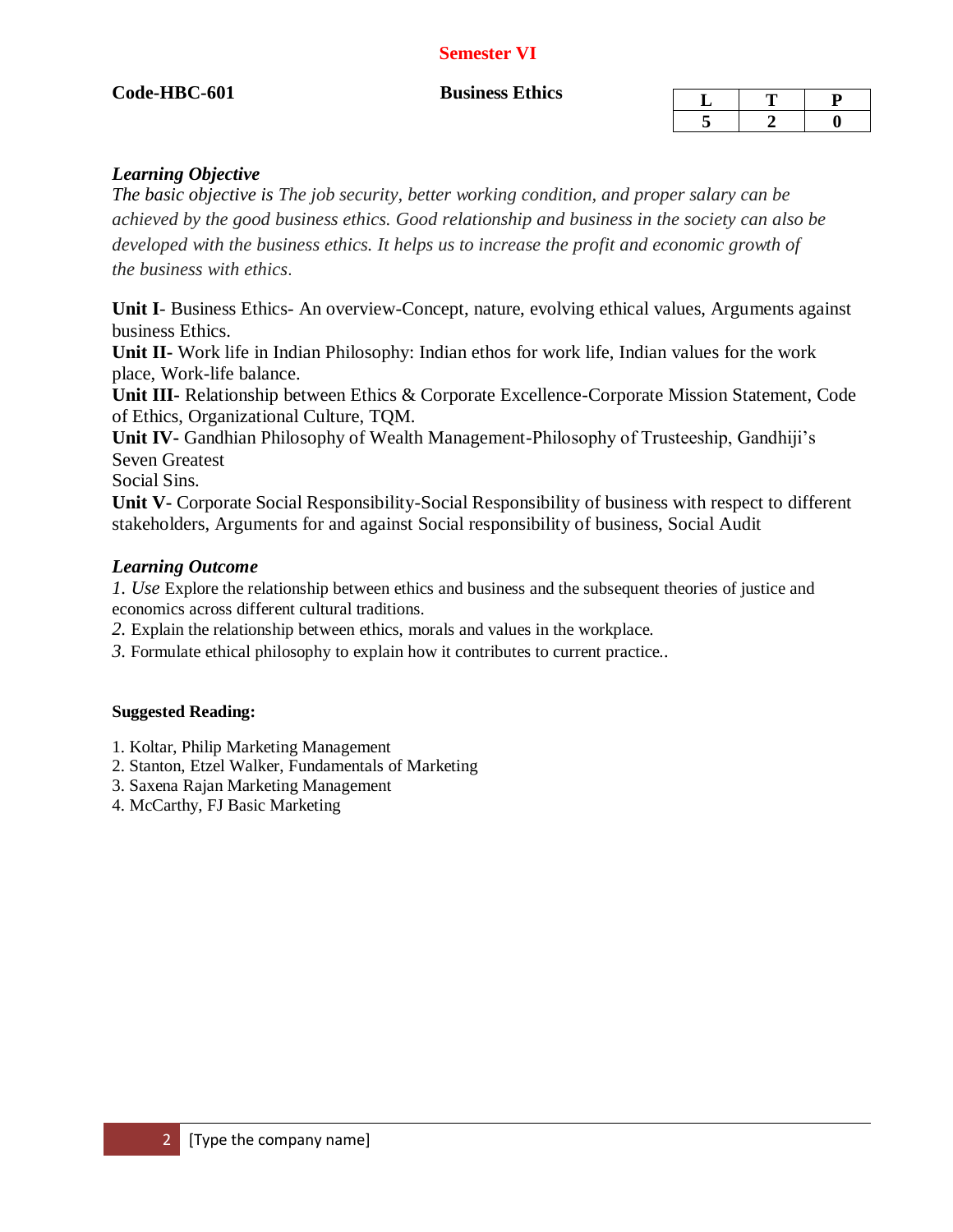# **Semester VI**

# Code-HBC-601 Business Ethics

# *Learning Objective*

*The basic objective is The job security, better working condition, and proper salary can be achieved by the good business ethics. Good relationship and business in the society can also be developed with the business ethics. It helps us to increase the profit and economic growth of the business with ethics*.

**Unit I**- Business Ethics- An overview-Concept, nature, evolving ethical values, Arguments against business Ethics.

**Unit II-** Work life in Indian Philosophy: Indian ethos for work life, Indian values for the work place, Work-life balance.

**Unit III-** Relationship between Ethics & Corporate Excellence-Corporate Mission Statement, Code of Ethics, Organizational Culture, TQM.

**Unit IV-** Gandhian Philosophy of Wealth Management-Philosophy of Trusteeship, Gandhiji's Seven Greatest

Social Sins.

**Unit V-** Corporate Social Responsibility-Social Responsibility of business with respect to different stakeholders, Arguments for and against Social responsibility of business, Social Audit

# *Learning Outcome*

*1. Use* Explore the relationship between ethics and business and the subsequent theories of justice and economics across different cultural traditions.

- *2.* Explain the relationship between ethics, morals and values in the workplace.
- *3.* Formulate ethical philosophy to explain how it contributes to current practice.*.*

### **Suggested Reading:**

- 1. Koltar, Philip Marketing Management
- 2. Stanton, Etzel Walker, Fundamentals of Marketing
- 3. Saxena Rajan Marketing Management
- 4. McCarthy, FJ Basic Marketing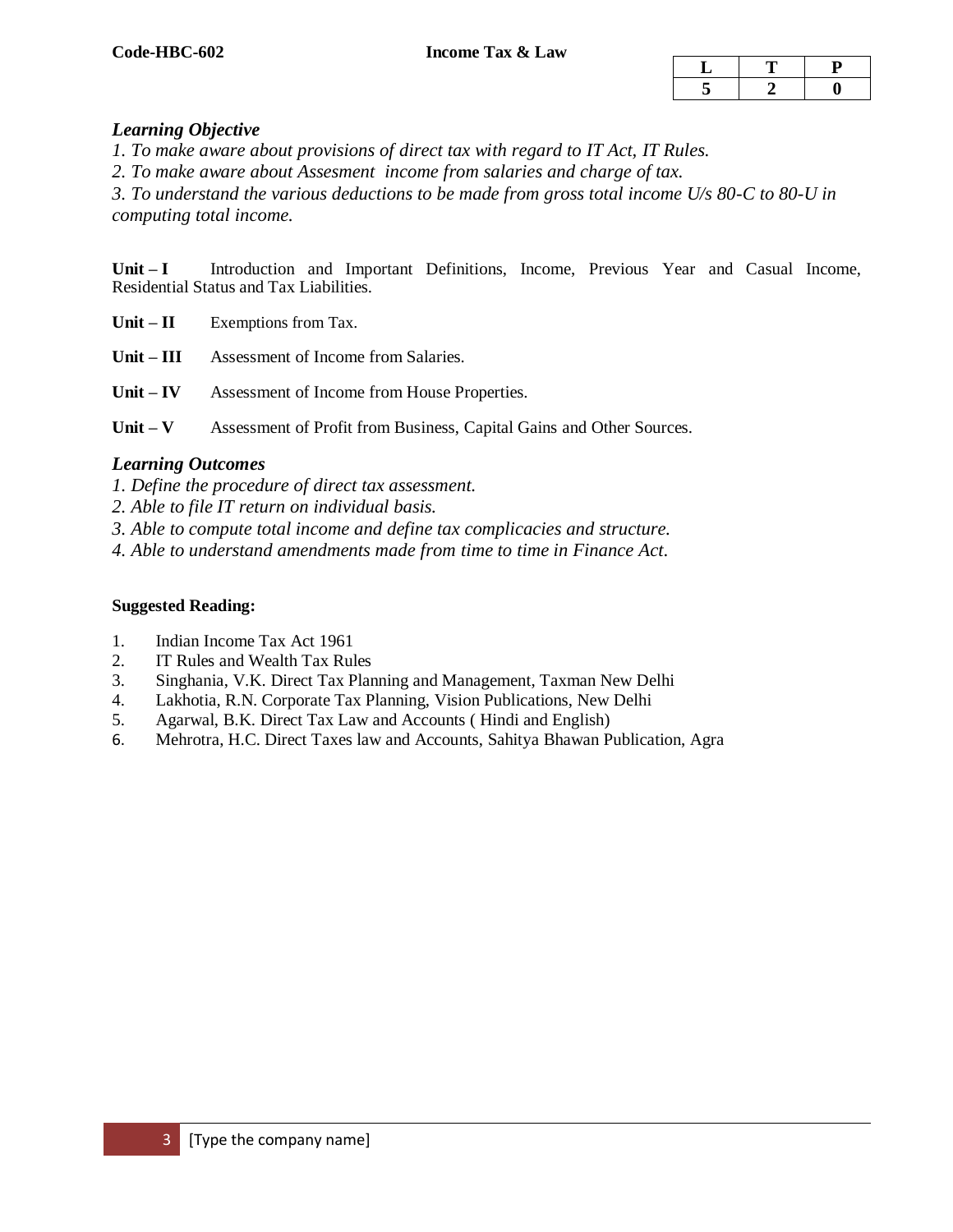## *Learning Objective*

*1. To make aware about provisions of direct tax with regard to IT Act, IT Rules.* 

*2. To make aware about Assesment income from salaries and charge of tax.* 

*3. To understand the various deductions to be made from gross total income U/s 80-C to 80-U in computing total income.*

**Unit – I** Introduction and Important Definitions, Income, Previous Year and Casual Income, Residential Status and Tax Liabilities.

- **Unit – II** Exemptions from Tax.
- **Unit – III** Assessment of Income from Salaries.
- **Unit – IV** Assessment of Income from House Properties.

**Unit – V** Assessment of Profit from Business, Capital Gains and Other Sources.

#### *Learning Outcomes*

- *1. Define the procedure of direct tax assessment.*
- *2. Able to file IT return on individual basis.*
- *3. Able to compute total income and define tax complicacies and structure.*
- *4. Able to understand amendments made from time to time in Finance Act*.

#### **Suggested Reading:**

- 1. Indian Income Tax Act 1961
- 2. IT Rules and Wealth Tax Rules
- 3. Singhania, V.K. Direct Tax Planning and Management, Taxman New Delhi
- 4. Lakhotia, R.N. Corporate Tax Planning, Vision Publications, New Delhi
- 5. Agarwal, B.K. Direct Tax Law and Accounts ( Hindi and English)
- 6. Mehrotra, H.C. Direct Taxes law and Accounts, Sahitya Bhawan Publication, Agra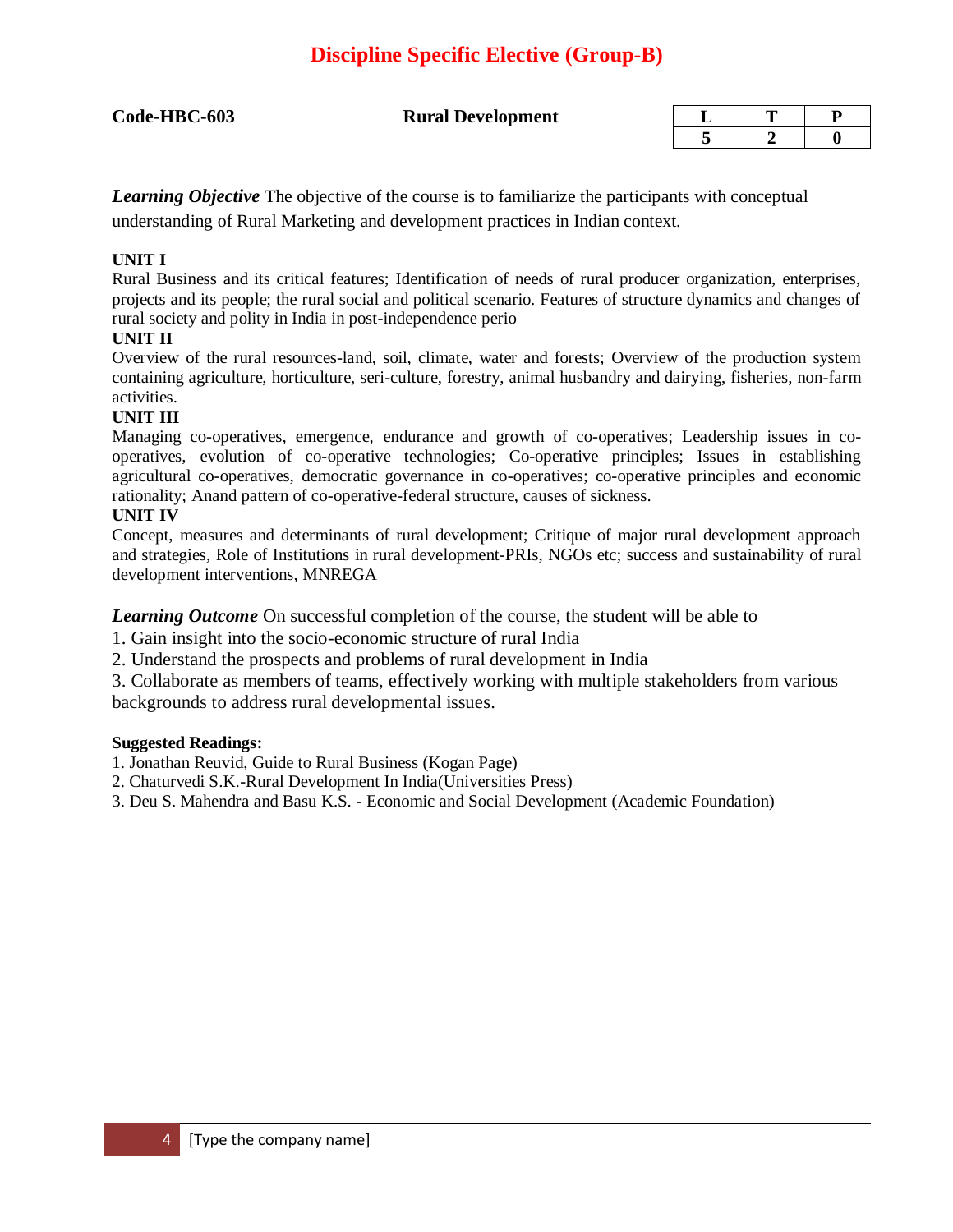# **Discipline Specific Elective (Group-B)**

**Code-HBC-603 Rural Development**

*Learning Objective* The objective of the course is to familiarize the participants with conceptual understanding of Rural Marketing and development practices in Indian context.

# **UNIT I**

Rural Business and its critical features; Identification of needs of rural producer organization, enterprises, projects and its people; the rural social and political scenario. Features of structure dynamics and changes of rural society and polity in India in post-independence perio

#### **UNIT II**

Overview of the rural resources-land, soil, climate, water and forests; Overview of the production system containing agriculture, horticulture, seri-culture, forestry, animal husbandry and dairying, fisheries, non-farm activities.

### **UNIT III**

Managing co-operatives, emergence, endurance and growth of co-operatives; Leadership issues in cooperatives, evolution of co-operative technologies; Co-operative principles; Issues in establishing agricultural co-operatives, democratic governance in co-operatives; co-operative principles and economic rationality; Anand pattern of co-operative-federal structure, causes of sickness.

#### **UNIT IV**

Concept, measures and determinants of rural development; Critique of major rural development approach and strategies, Role of Institutions in rural development-PRIs, NGOs etc; success and sustainability of rural development interventions, MNREGA

*Learning Outcome* On successful completion of the course, the student will be able to

1. Gain insight into the socio-economic structure of rural India

2. Understand the prospects and problems of rural development in India

3. Collaborate as members of teams, effectively working with multiple stakeholders from various backgrounds to address rural developmental issues.

#### **Suggested Readings:**

1. Jonathan Reuvid, Guide to Rural Business (Kogan Page)

2. Chaturvedi S.K.-Rural Development In India(Universities Press)

3. Deu S. Mahendra and Basu K.S. - Economic and Social Development (Academic Foundation)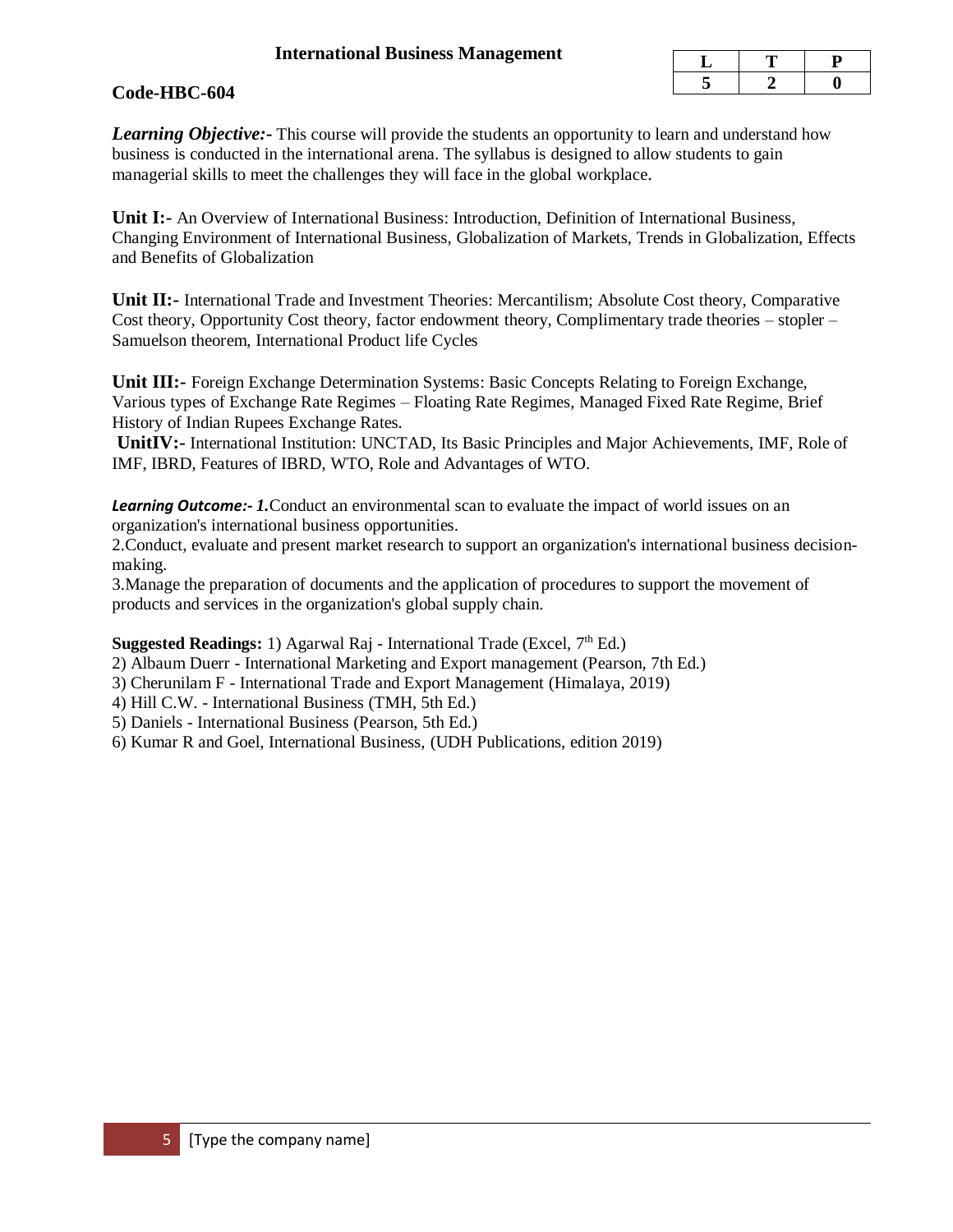# **International Business Management**

# **Code-HBC-604**

*Learning Objective:*-This course will provide the students an opportunity to learn and understand how business is conducted in the international arena. The syllabus is designed to allow students to gain managerial skills to meet the challenges they will face in the global workplace*.*

**Unit I:-** An Overview of International Business: Introduction, Definition of International Business, Changing Environment of International Business, Globalization of Markets, Trends in Globalization, Effects and Benefits of Globalization

**Unit II:-** International Trade and Investment Theories: Mercantilism; Absolute Cost theory, Comparative Cost theory, Opportunity Cost theory, factor endowment theory, Complimentary trade theories – stopler – Samuelson theorem, International Product life Cycles

**Unit III:-** Foreign Exchange Determination Systems: Basic Concepts Relating to Foreign Exchange, Various types of Exchange Rate Regimes – Floating Rate Regimes, Managed Fixed Rate Regime, Brief History of Indian Rupees Exchange Rates.

**UnitIV:-** International Institution: UNCTAD, Its Basic Principles and Major Achievements, IMF, Role of IMF, IBRD, Features of IBRD, WTO, Role and Advantages of WTO.

*Learning Outcome:- 1.*Conduct an environmental scan to evaluate the impact of world issues on an organization's international business opportunities.

2.Conduct, evaluate and present market research to support an organization's international business decisionmaking.

3.Manage the preparation of documents and the application of procedures to support the movement of products and services in the organization's global supply chain.

#### **Suggested Readings:** 1) Agarwal Raj - International Trade (Excel, 7<sup>th</sup> Ed.)

- 2) Albaum Duerr International Marketing and Export management (Pearson, 7th Ed.)
- 3) Cherunilam F International Trade and Export Management (Himalaya, 2019)
- 4) Hill C.W. International Business (TMH, 5th Ed.)
- 5) Daniels International Business (Pearson, 5th Ed.)
- 6) Kumar R and Goel, International Business, (UDH Publications, edition 2019)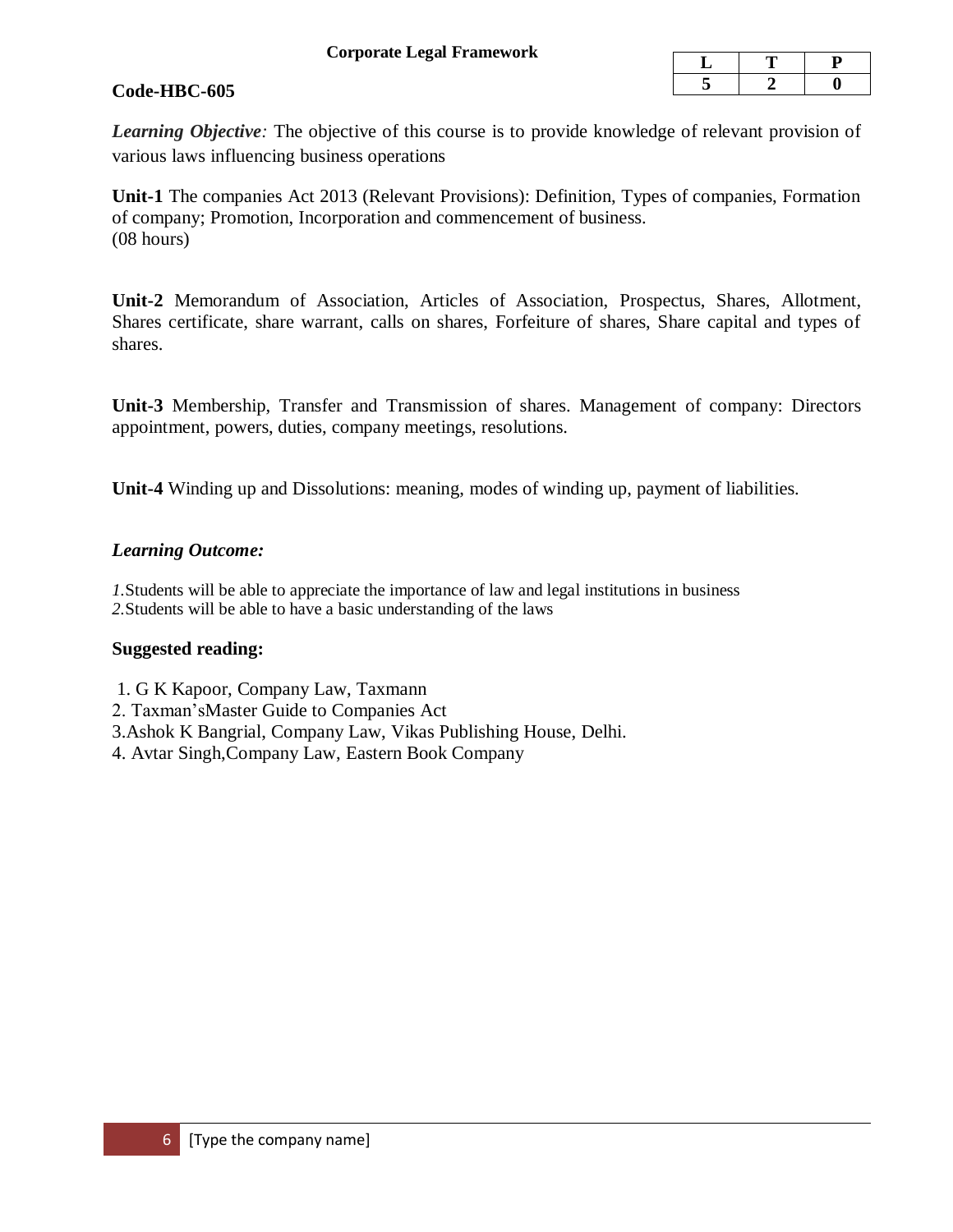### **Corporate Legal Framework**

#### **Code-HBC-605**

*Learning Objective:* The objective of this course is to provide knowledge of relevant provision of various laws influencing business operations

**Unit-1** The companies Act 2013 (Relevant Provisions): Definition, Types of companies, Formation of company; Promotion, Incorporation and commencement of business. (08 hours)

**Unit-2** Memorandum of Association, Articles of Association, Prospectus, Shares, Allotment, Shares certificate, share warrant, calls on shares, Forfeiture of shares, Share capital and types of shares.

**Unit-3** Membership, Transfer and Transmission of shares. Management of company: Directors appointment, powers, duties, company meetings, resolutions.

**Unit-4** Winding up and Dissolutions: meaning, modes of winding up, payment of liabilities.

### *Learning Outcome:*

*1.*Students will be able to appreciate the importance of law and legal institutions in business *2.*Students will be able to have a basic understanding of the laws

### **Suggested reading:**

- 1. G K Kapoor, Company Law, Taxmann
- 2. Taxman'sMaster Guide to Companies Act
- 3.Ashok K Bangrial, Company Law, Vikas Publishing House, Delhi.
- 4. Avtar Singh,Company Law, Eastern Book Company